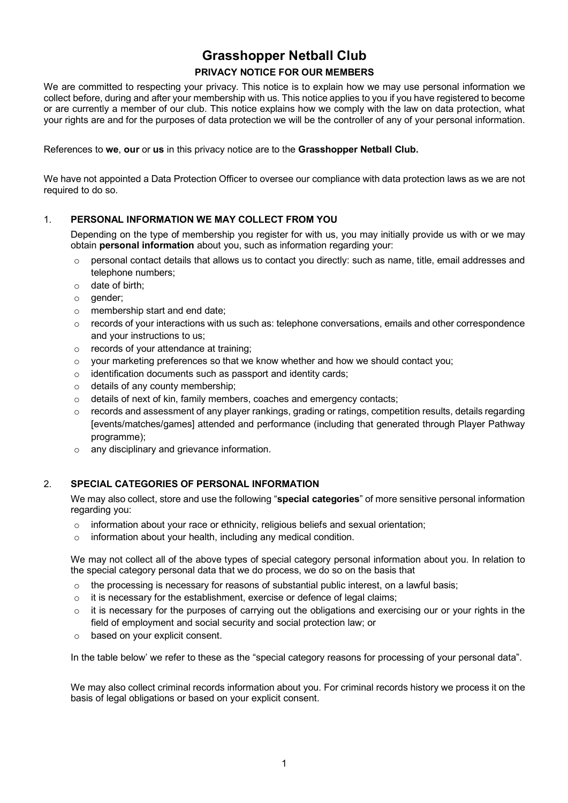# **Grasshopper Netball Club**

## **PRIVACY NOTICE FOR OUR MEMBERS**

We are committed to respecting your privacy. This notice is to explain how we may use personal information we collect before, during and after your membership with us. This notice applies to you if you have registered to become or are currently a member of our club. This notice explains how we comply with the law on data protection, what your rights are and for the purposes of data protection we will be the controller of any of your personal information.

References to **we**, **our** or **us** in this privacy notice are to the **Grasshopper Netball Club.**

We have not appointed a Data Protection Officer to oversee our compliance with data protection laws as we are not required to do so.

## 1. **PERSONAL INFORMATION WE MAY COLLECT FROM YOU**

Depending on the type of membership you register for with us, you may initially provide us with or we may obtain **personal information** about you, such as information regarding your:

- $\circ$  personal contact details that allows us to contact you directly: such as name, title, email addresses and telephone numbers;
- o date of birth;
- o gender;
- o membership start and end date;
- $\circ$  records of your interactions with us such as: telephone conversations, emails and other correspondence and your instructions to us;
- o records of your attendance at training;
- $\circ$  vour marketing preferences so that we know whether and how we should contact you;
- o identification documents such as passport and identity cards;
- o details of any county membership;
- o details of next of kin, family members, coaches and emergency contacts;
- o records and assessment of any player rankings, grading or ratings, competition results, details regarding [events/matches/games] attended and performance (including that generated through Player Pathway programme);
- o any disciplinary and grievance information.

## 2. **SPECIAL CATEGORIES OF PERSONAL INFORMATION**

We may also collect, store and use the following "**special categories**" of more sensitive personal information regarding you:

- o information about your race or ethnicity, religious beliefs and sexual orientation;
- o information about your health, including any medical condition.

We may not collect all of the above types of special category personal information about you. In relation to the special category personal data that we do process, we do so on the basis that

- $\circ$  the processing is necessary for reasons of substantial public interest, on a lawful basis;
- o it is necessary for the establishment, exercise or defence of legal claims;
- $\circ$  it is necessary for the purposes of carrying out the obligations and exercising our or your rights in the field of employment and social security and social protection law; or
- o based on your explicit consent.

In the table below' we refer to these as the "special category reasons for processing of your personal data".

We may also collect criminal records information about you. For criminal records history we process it on the basis of legal obligations or based on your explicit consent.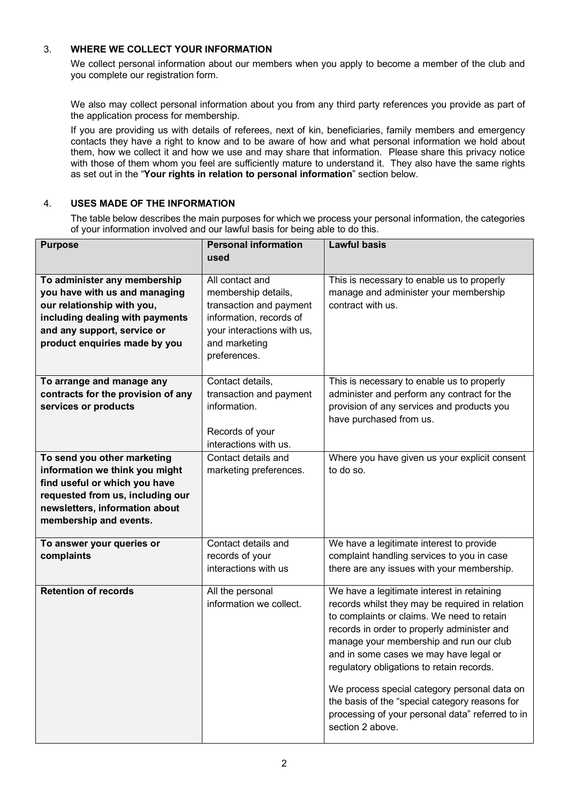## 3. **WHERE WE COLLECT YOUR INFORMATION**

We collect personal information about our members when you apply to become a member of the club and you complete our registration form.

We also may collect personal information about you from any third party references you provide as part of the application process for membership.

If you are providing us with details of referees, next of kin, beneficiaries, family members and emergency contacts they have a right to know and to be aware of how and what personal information we hold about them, how we collect it and how we use and may share that information. Please share this privacy notice with those of them whom you feel are sufficiently mature to understand it. They also have the same rights as set out in the "**Your rights in relation to personal information**" section below.

## 4. **USES MADE OF THE INFORMATION**

The table below describes the main purposes for which we process your personal information, the categories of your information involved and our lawful basis for being able to do this.

| <b>Purpose</b>                                                                                                                                                                                 | <b>Personal information</b>                                                                                                                                 | <b>Lawful basis</b>                                                                                                                                                                                                                                                                                                                                                                                                                                                                                    |
|------------------------------------------------------------------------------------------------------------------------------------------------------------------------------------------------|-------------------------------------------------------------------------------------------------------------------------------------------------------------|--------------------------------------------------------------------------------------------------------------------------------------------------------------------------------------------------------------------------------------------------------------------------------------------------------------------------------------------------------------------------------------------------------------------------------------------------------------------------------------------------------|
|                                                                                                                                                                                                | used                                                                                                                                                        |                                                                                                                                                                                                                                                                                                                                                                                                                                                                                                        |
| To administer any membership<br>you have with us and managing<br>our relationship with you,<br>including dealing with payments<br>and any support, service or<br>product enquiries made by you | All contact and<br>membership details,<br>transaction and payment<br>information, records of<br>your interactions with us,<br>and marketing<br>preferences. | This is necessary to enable us to properly<br>manage and administer your membership<br>contract with us.                                                                                                                                                                                                                                                                                                                                                                                               |
| To arrange and manage any<br>contracts for the provision of any<br>services or products                                                                                                        | Contact details,<br>transaction and payment<br>information.<br>Records of your<br>interactions with us.                                                     | This is necessary to enable us to properly<br>administer and perform any contract for the<br>provision of any services and products you<br>have purchased from us.                                                                                                                                                                                                                                                                                                                                     |
| To send you other marketing<br>information we think you might<br>find useful or which you have<br>requested from us, including our<br>newsletters, information about<br>membership and events. | Contact details and<br>marketing preferences.                                                                                                               | Where you have given us your explicit consent<br>to do so.                                                                                                                                                                                                                                                                                                                                                                                                                                             |
| To answer your queries or<br>complaints                                                                                                                                                        | Contact details and<br>records of your<br>interactions with us                                                                                              | We have a legitimate interest to provide<br>complaint handling services to you in case<br>there are any issues with your membership.                                                                                                                                                                                                                                                                                                                                                                   |
| <b>Retention of records</b>                                                                                                                                                                    | All the personal<br>information we collect.                                                                                                                 | We have a legitimate interest in retaining<br>records whilst they may be required in relation<br>to complaints or claims. We need to retain<br>records in order to properly administer and<br>manage your membership and run our club<br>and in some cases we may have legal or<br>regulatory obligations to retain records.<br>We process special category personal data on<br>the basis of the "special category reasons for<br>processing of your personal data" referred to in<br>section 2 above. |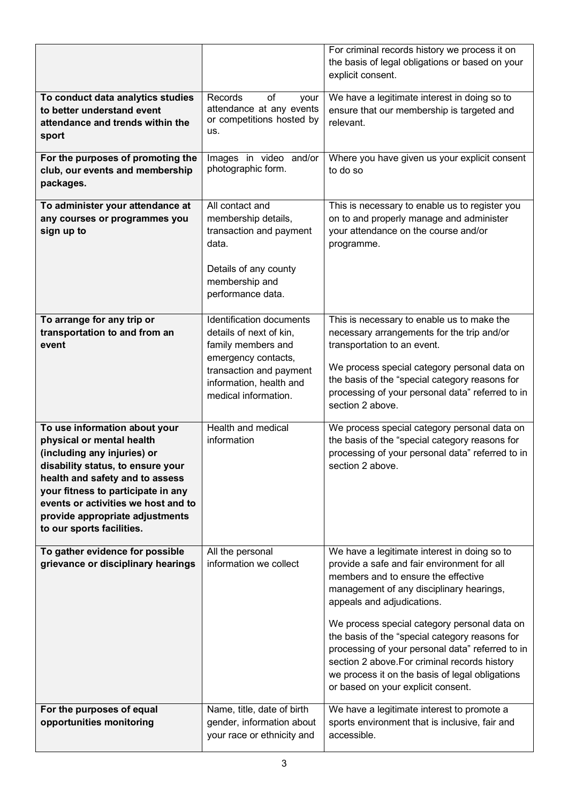|                                                                                                                                                                                                                                                                                                                |                                                                                                                                                                                | For criminal records history we process it on<br>the basis of legal obligations or based on your<br>explicit consent.                                                                                                                                                                                                                                                                                                                                                                                        |
|----------------------------------------------------------------------------------------------------------------------------------------------------------------------------------------------------------------------------------------------------------------------------------------------------------------|--------------------------------------------------------------------------------------------------------------------------------------------------------------------------------|--------------------------------------------------------------------------------------------------------------------------------------------------------------------------------------------------------------------------------------------------------------------------------------------------------------------------------------------------------------------------------------------------------------------------------------------------------------------------------------------------------------|
| To conduct data analytics studies<br>to better understand event<br>attendance and trends within the<br>sport                                                                                                                                                                                                   | Records<br>οf<br>your<br>attendance at any events<br>or competitions hosted by<br>us.                                                                                          | We have a legitimate interest in doing so to<br>ensure that our membership is targeted and<br>relevant.                                                                                                                                                                                                                                                                                                                                                                                                      |
| For the purposes of promoting the<br>club, our events and membership<br>packages.                                                                                                                                                                                                                              | Images in video and/or<br>photographic form.                                                                                                                                   | Where you have given us your explicit consent<br>to do so                                                                                                                                                                                                                                                                                                                                                                                                                                                    |
| To administer your attendance at<br>any courses or programmes you<br>sign up to                                                                                                                                                                                                                                | All contact and<br>membership details,<br>transaction and payment<br>data.<br>Details of any county<br>membership and<br>performance data.                                     | This is necessary to enable us to register you<br>on to and properly manage and administer<br>your attendance on the course and/or<br>programme.                                                                                                                                                                                                                                                                                                                                                             |
| To arrange for any trip or<br>transportation to and from an<br>event                                                                                                                                                                                                                                           | Identification documents<br>details of next of kin,<br>family members and<br>emergency contacts,<br>transaction and payment<br>information, health and<br>medical information. | This is necessary to enable us to make the<br>necessary arrangements for the trip and/or<br>transportation to an event.<br>We process special category personal data on<br>the basis of the "special category reasons for<br>processing of your personal data" referred to in<br>section 2 above.                                                                                                                                                                                                            |
| To use information about your<br>physical or mental health<br>(including any injuries) or<br>disability status, to ensure your<br>health and safety and to assess<br>your fitness to participate in any<br>events or activities we host and to<br>provide appropriate adjustments<br>to our sports facilities. | Health and medical<br>information                                                                                                                                              | We process special category personal data on<br>the basis of the "special category reasons for<br>processing of your personal data" referred to in<br>section 2 above.                                                                                                                                                                                                                                                                                                                                       |
| To gather evidence for possible<br>grievance or disciplinary hearings                                                                                                                                                                                                                                          | All the personal<br>information we collect                                                                                                                                     | We have a legitimate interest in doing so to<br>provide a safe and fair environment for all<br>members and to ensure the effective<br>management of any disciplinary hearings,<br>appeals and adjudications.<br>We process special category personal data on<br>the basis of the "special category reasons for<br>processing of your personal data" referred to in<br>section 2 above. For criminal records history<br>we process it on the basis of legal obligations<br>or based on your explicit consent. |
| For the purposes of equal<br>opportunities monitoring                                                                                                                                                                                                                                                          | Name, title, date of birth<br>gender, information about<br>your race or ethnicity and                                                                                          | We have a legitimate interest to promote a<br>sports environment that is inclusive, fair and<br>accessible.                                                                                                                                                                                                                                                                                                                                                                                                  |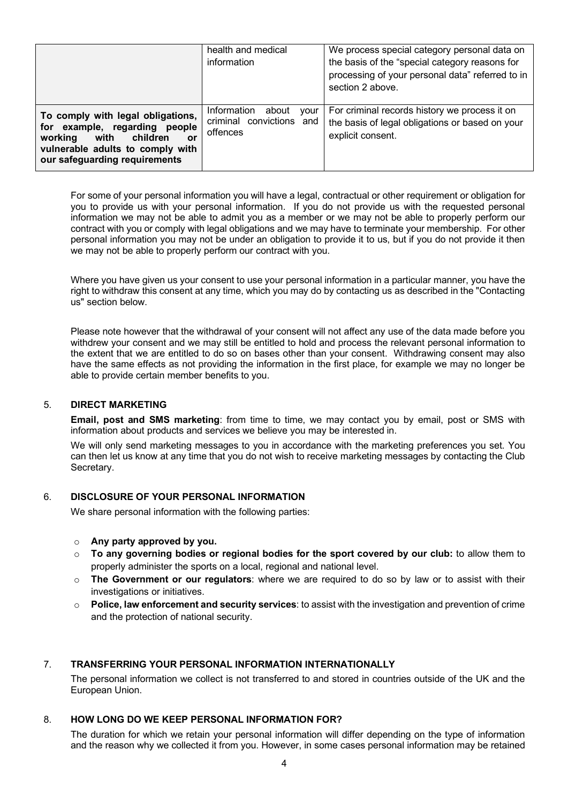|                                                                                                                                                                           | health and medical<br>information                                    | We process special category personal data on<br>the basis of the "special category reasons for<br>processing of your personal data" referred to in<br>section 2 above. |
|---------------------------------------------------------------------------------------------------------------------------------------------------------------------------|----------------------------------------------------------------------|------------------------------------------------------------------------------------------------------------------------------------------------------------------------|
| To comply with legal obligations,<br>for example, regarding people<br>working<br>with children<br>or<br>vulnerable adults to comply with<br>our safeguarding requirements | Information<br>about<br>vour<br>criminal convictions and<br>offences | For criminal records history we process it on<br>the basis of legal obligations or based on your<br>explicit consent.                                                  |

For some of your personal information you will have a legal, contractual or other requirement or obligation for you to provide us with your personal information. If you do not provide us with the requested personal information we may not be able to admit you as a member or we may not be able to properly perform our contract with you or comply with legal obligations and we may have to terminate your membership. For other personal information you may not be under an obligation to provide it to us, but if you do not provide it then we may not be able to properly perform our contract with you.

Where you have given us your consent to use your personal information in a particular manner, you have the right to withdraw this consent at any time, which you may do by contacting us as described in the "Contacting us" section below.

Please note however that the withdrawal of your consent will not affect any use of the data made before you withdrew your consent and we may still be entitled to hold and process the relevant personal information to the extent that we are entitled to do so on bases other than your consent. Withdrawing consent may also have the same effects as not providing the information in the first place, for example we may no longer be able to provide certain member benefits to you.

#### 5. **DIRECT MARKETING**

**Email, post and SMS marketing**: from time to time, we may contact you by email, post or SMS with information about products and services we believe you may be interested in.

We will only send marketing messages to you in accordance with the marketing preferences you set. You can then let us know at any time that you do not wish to receive marketing messages by contacting the Club Secretary.

### 6. **DISCLOSURE OF YOUR PERSONAL INFORMATION**

We share personal information with the following parties:

#### o **Any party approved by you.**

- o **To any governing bodies or regional bodies for the sport covered by our club:** to allow them to properly administer the sports on a local, regional and national level.
- o **The Government or our regulators**: where we are required to do so by law or to assist with their investigations or initiatives.
- **Police, law enforcement and security services**: to assist with the investigation and prevention of crime and the protection of national security.

### 7. **TRANSFERRING YOUR PERSONAL INFORMATION INTERNATIONALLY**

The personal information we collect is not transferred to and stored in countries outside of the UK and the European Union.

#### 8. **HOW LONG DO WE KEEP PERSONAL INFORMATION FOR?**

The duration for which we retain your personal information will differ depending on the type of information and the reason why we collected it from you. However, in some cases personal information may be retained